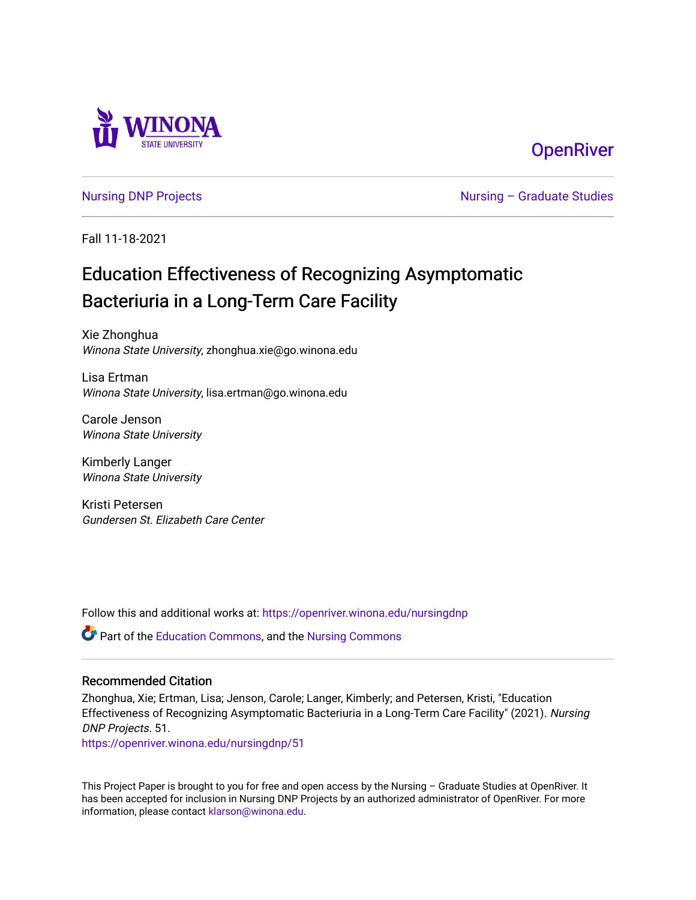

## **OpenRiver**

[Nursing DNP Projects](https://openriver.winona.edu/nursingdnp) **Nursing – Graduate Studies** 

Fall 11-18-2021

# Education Effectiveness of Recognizing Asymptomatic Bacteriuria in a Long-Term Care Facility

Xie Zhonghua Winona State University, zhonghua.xie@go.winona.edu

Lisa Ertman Winona State University, lisa.ertman@go.winona.edu

Carole Jenson Winona State University

Kimberly Langer Winona State University

Kristi Petersen Gundersen St. Elizabeth Care Center

Follow this and additional works at: [https://openriver.winona.edu/nursingdnp](https://openriver.winona.edu/nursingdnp?utm_source=openriver.winona.edu%2Fnursingdnp%2F51&utm_medium=PDF&utm_campaign=PDFCoverPages) 

Part of the [Education Commons](http://network.bepress.com/hgg/discipline/784?utm_source=openriver.winona.edu%2Fnursingdnp%2F51&utm_medium=PDF&utm_campaign=PDFCoverPages), and the [Nursing Commons](http://network.bepress.com/hgg/discipline/718?utm_source=openriver.winona.edu%2Fnursingdnp%2F51&utm_medium=PDF&utm_campaign=PDFCoverPages) 

#### Recommended Citation

Zhonghua, Xie; Ertman, Lisa; Jenson, Carole; Langer, Kimberly; and Petersen, Kristi, "Education Effectiveness of Recognizing Asymptomatic Bacteriuria in a Long-Term Care Facility" (2021). Nursing DNP Projects. 51.

[https://openriver.winona.edu/nursingdnp/51](https://openriver.winona.edu/nursingdnp/51?utm_source=openriver.winona.edu%2Fnursingdnp%2F51&utm_medium=PDF&utm_campaign=PDFCoverPages)

This Project Paper is brought to you for free and open access by the Nursing – Graduate Studies at OpenRiver. It has been accepted for inclusion in Nursing DNP Projects by an authorized administrator of OpenRiver. For more information, please contact [klarson@winona.edu](mailto:klarson@winona.edu).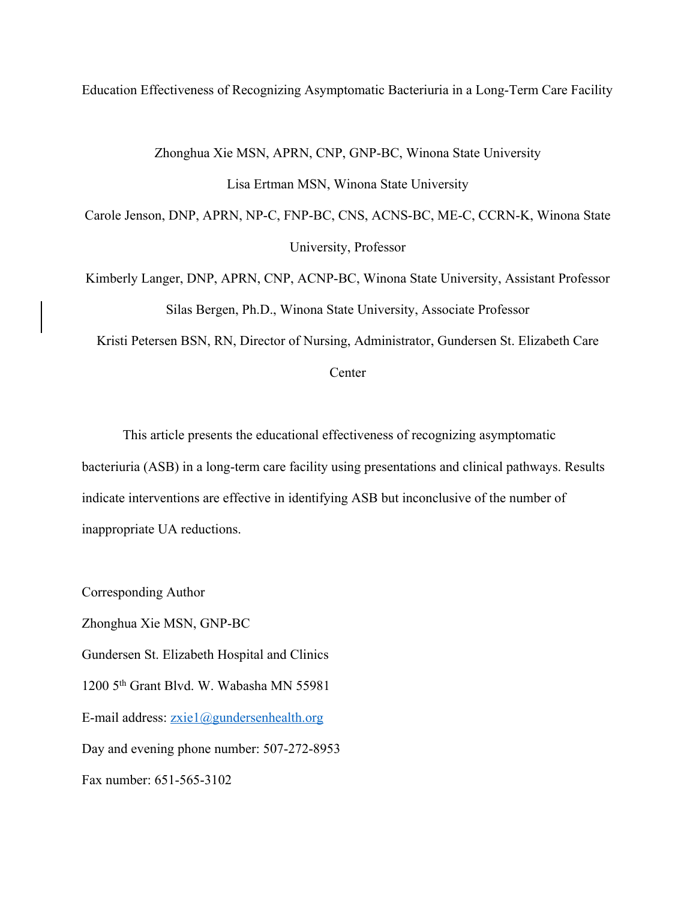Education Effectiveness of Recognizing Asymptomatic Bacteriuria in a Long-Term Care Facility

Zhonghua Xie MSN, APRN, CNP, GNP-BC, Winona State University Lisa Ertman MSN, Winona State University

Carole Jenson, DNP, APRN, NP-C, FNP-BC, CNS, ACNS-BC, ME-C, CCRN-K, Winona State University, Professor

Kimberly Langer, DNP, APRN, CNP, ACNP-BC, Winona State University, Assistant Professor Silas Bergen, Ph.D., Winona State University, Associate Professor

Kristi Petersen BSN, RN, Director of Nursing, Administrator, Gundersen St. Elizabeth Care

**Center** 

This article presents the educational effectiveness of recognizing asymptomatic bacteriuria (ASB) in a long-term care facility using presentations and clinical pathways. Results indicate interventions are effective in identifying ASB but inconclusive of the number of inappropriate UA reductions.

Corresponding Author Zhonghua Xie MSN, GNP-BC Gundersen St. Elizabeth Hospital and Clinics 1200 5th Grant Blvd. W. Wabasha MN 55981 E-mail address: zxie1@gundersenhealth.org Day and evening phone number: 507-272-8953 Fax number: 651-565-3102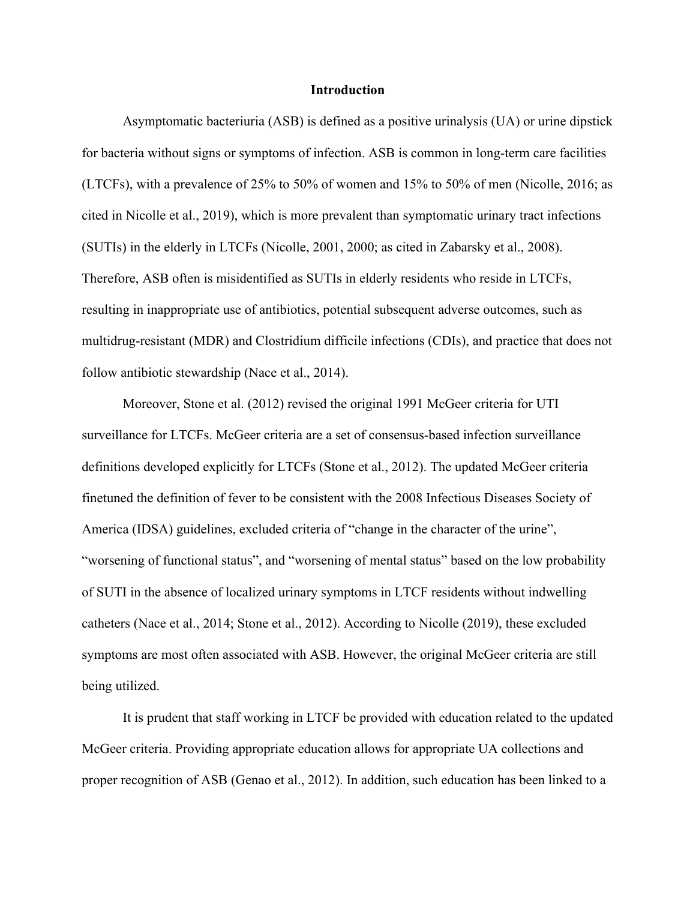#### **Introduction**

Asymptomatic bacteriuria (ASB) is defined as a positive urinalysis (UA) or urine dipstick for bacteria without signs or symptoms of infection. ASB is common in long-term care facilities (LTCFs), with a prevalence of 25% to 50% of women and 15% to 50% of men (Nicolle, 2016; as cited in Nicolle et al., 2019), which is more prevalent than symptomatic urinary tract infections (SUTIs) in the elderly in LTCFs (Nicolle, 2001, 2000; as cited in Zabarsky et al., 2008). Therefore, ASB often is misidentified as SUTIs in elderly residents who reside in LTCFs, resulting in inappropriate use of antibiotics, potential subsequent adverse outcomes, such as multidrug-resistant (MDR) and Clostridium difficile infections (CDIs), and practice that does not follow antibiotic stewardship (Nace et al., 2014).

Moreover, Stone et al. (2012) revised the original 1991 McGeer criteria for UTI surveillance for LTCFs. McGeer criteria are a set of consensus-based infection surveillance definitions developed explicitly for LTCFs (Stone et al., 2012). The updated McGeer criteria finetuned the definition of fever to be consistent with the 2008 Infectious Diseases Society of America (IDSA) guidelines, excluded criteria of "change in the character of the urine", "worsening of functional status", and "worsening of mental status" based on the low probability of SUTI in the absence of localized urinary symptoms in LTCF residents without indwelling catheters (Nace et al., 2014; Stone et al., 2012). According to Nicolle (2019), these excluded symptoms are most often associated with ASB. However, the original McGeer criteria are still being utilized.

It is prudent that staff working in LTCF be provided with education related to the updated McGeer criteria. Providing appropriate education allows for appropriate UA collections and proper recognition of ASB (Genao et al., 2012). In addition, such education has been linked to a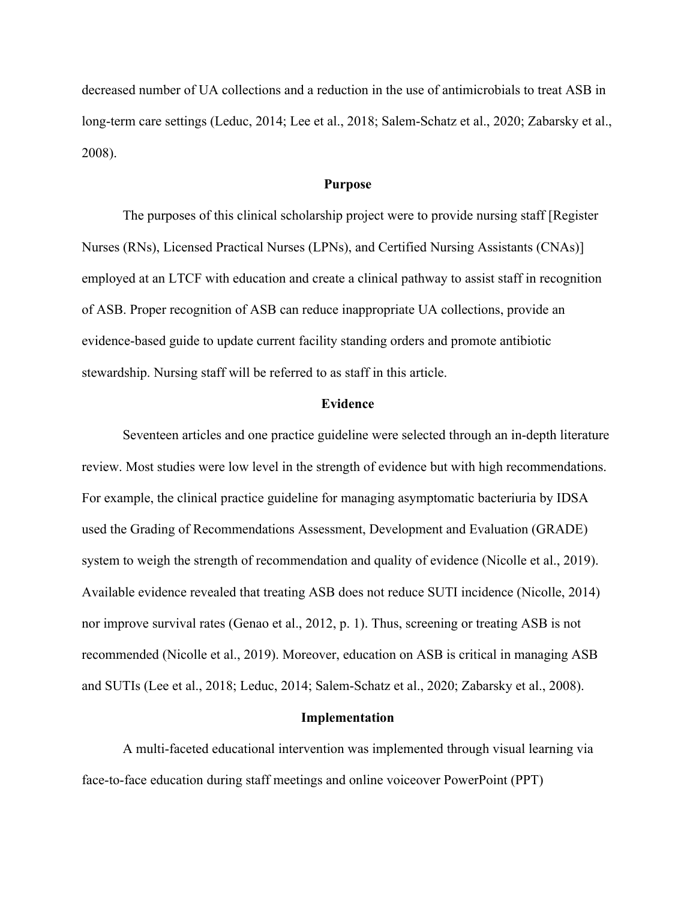decreased number of UA collections and a reduction in the use of antimicrobials to treat ASB in long-term care settings (Leduc, 2014; Lee et al., 2018; Salem-Schatz et al., 2020; Zabarsky et al., 2008).

#### **Purpose**

The purposes of this clinical scholarship project were to provide nursing staff [Register Nurses (RNs), Licensed Practical Nurses (LPNs), and Certified Nursing Assistants (CNAs)] employed at an LTCF with education and create a clinical pathway to assist staff in recognition of ASB. Proper recognition of ASB can reduce inappropriate UA collections, provide an evidence-based guide to update current facility standing orders and promote antibiotic stewardship. Nursing staff will be referred to as staff in this article.

#### **Evidence**

Seventeen articles and one practice guideline were selected through an in-depth literature review. Most studies were low level in the strength of evidence but with high recommendations. For example, the clinical practice guideline for managing asymptomatic bacteriuria by IDSA used the Grading of Recommendations Assessment, Development and Evaluation (GRADE) system to weigh the strength of recommendation and quality of evidence (Nicolle et al., 2019). Available evidence revealed that treating ASB does not reduce SUTI incidence (Nicolle, 2014) nor improve survival rates (Genao et al., 2012, p. 1). Thus, screening or treating ASB is not recommended (Nicolle et al., 2019). Moreover, education on ASB is critical in managing ASB and SUTIs (Lee et al., 2018; Leduc, 2014; Salem-Schatz et al., 2020; Zabarsky et al., 2008).

#### **Implementation**

A multi-faceted educational intervention was implemented through visual learning via face-to-face education during staff meetings and online voiceover PowerPoint (PPT)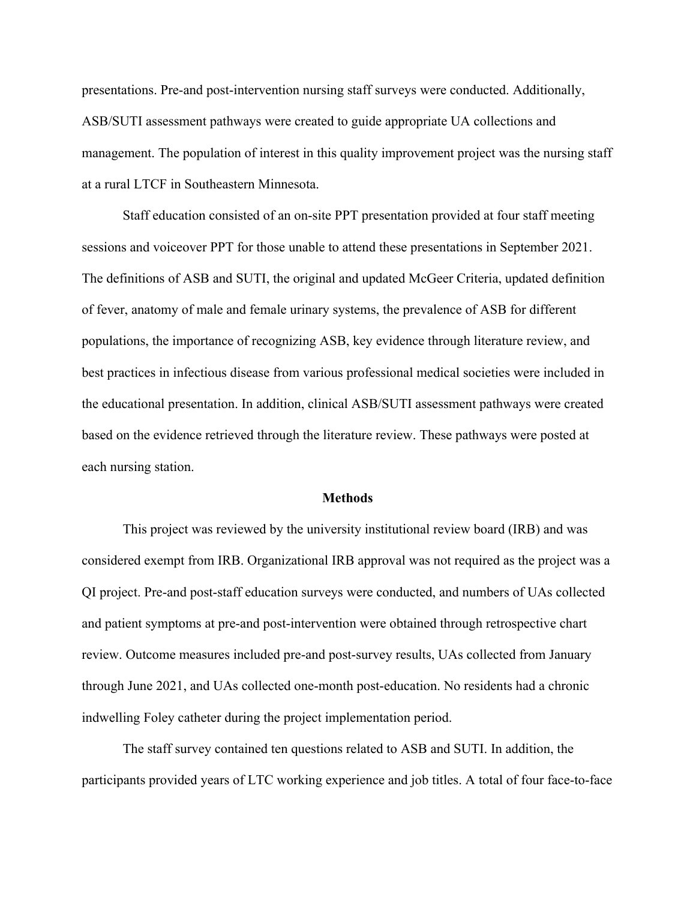presentations. Pre-and post-intervention nursing staff surveys were conducted. Additionally, ASB/SUTI assessment pathways were created to guide appropriate UA collections and management. The population of interest in this quality improvement project was the nursing staff at a rural LTCF in Southeastern Minnesota.

Staff education consisted of an on-site PPT presentation provided at four staff meeting sessions and voiceover PPT for those unable to attend these presentations in September 2021. The definitions of ASB and SUTI, the original and updated McGeer Criteria, updated definition of fever, anatomy of male and female urinary systems, the prevalence of ASB for different populations, the importance of recognizing ASB, key evidence through literature review, and best practices in infectious disease from various professional medical societies were included in the educational presentation. In addition, clinical ASB/SUTI assessment pathways were created based on the evidence retrieved through the literature review. These pathways were posted at each nursing station.

#### **Methods**

This project was reviewed by the university institutional review board (IRB) and was considered exempt from IRB. Organizational IRB approval was not required as the project was a QI project. Pre-and post-staff education surveys were conducted, and numbers of UAs collected and patient symptoms at pre-and post-intervention were obtained through retrospective chart review. Outcome measures included pre-and post-survey results, UAs collected from January through June 2021, and UAs collected one-month post-education. No residents had a chronic indwelling Foley catheter during the project implementation period.

The staff survey contained ten questions related to ASB and SUTI. In addition, the participants provided years of LTC working experience and job titles. A total of four face-to-face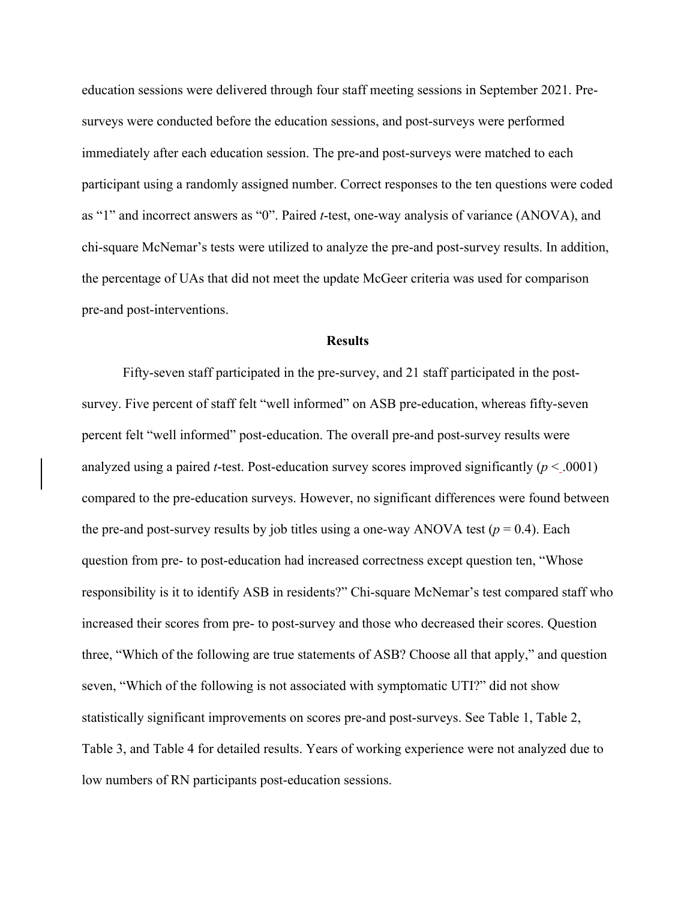education sessions were delivered through four staff meeting sessions in September 2021. Presurveys were conducted before the education sessions, and post-surveys were performed immediately after each education session. The pre-and post-surveys were matched to each participant using a randomly assigned number. Correct responses to the ten questions were coded as "1" and incorrect answers as "0". Paired *t*-test, one-way analysis of variance (ANOVA), and chi-square McNemar's tests were utilized to analyze the pre-and post-survey results. In addition, the percentage of UAs that did not meet the update McGeer criteria was used for comparison pre-and post-interventions.

#### **Results**

Fifty-seven staff participated in the pre-survey, and 21 staff participated in the postsurvey. Five percent of staff felt "well informed" on ASB pre-education, whereas fifty-seven percent felt "well informed" post-education. The overall pre-and post-survey results were analyzed using a paired *t*-test. Post-education survey scores improved significantly  $(p < .0001)$ compared to the pre-education surveys. However, no significant differences were found between the pre-and post-survey results by job titles using a one-way ANOVA test ( $p = 0.4$ ). Each question from pre- to post-education had increased correctness except question ten, "Whose responsibility is it to identify ASB in residents?" Chi-square McNemar's test compared staff who increased their scores from pre- to post-survey and those who decreased their scores. Question three, "Which of the following are true statements of ASB? Choose all that apply," and question seven, "Which of the following is not associated with symptomatic UTI?" did not show statistically significant improvements on scores pre-and post-surveys. See Table 1, Table 2, Table 3, and Table 4 for detailed results. Years of working experience were not analyzed due to low numbers of RN participants post-education sessions.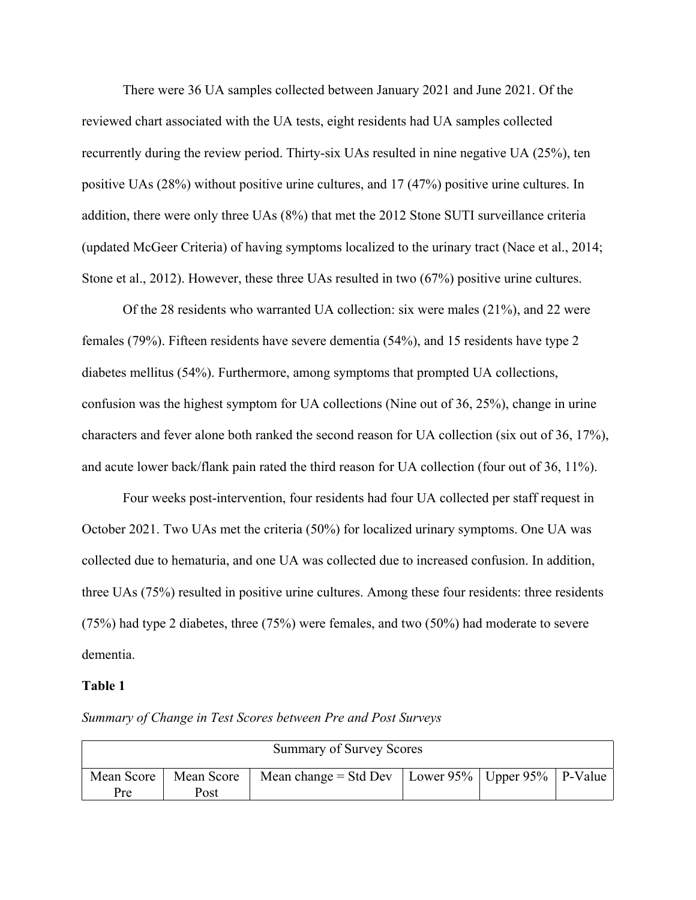There were 36 UA samples collected between January 2021 and June 2021. Of the reviewed chart associated with the UA tests, eight residents had UA samples collected recurrently during the review period. Thirty-six UAs resulted in nine negative UA (25%), ten positive UAs (28%) without positive urine cultures, and 17 (47%) positive urine cultures. In addition, there were only three UAs (8%) that met the 2012 Stone SUTI surveillance criteria (updated McGeer Criteria) of having symptoms localized to the urinary tract (Nace et al., 2014; Stone et al., 2012). However, these three UAs resulted in two (67%) positive urine cultures.

Of the 28 residents who warranted UA collection: six were males (21%), and 22 were females (79%). Fifteen residents have severe dementia (54%), and 15 residents have type 2 diabetes mellitus (54%). Furthermore, among symptoms that prompted UA collections, confusion was the highest symptom for UA collections (Nine out of 36, 25%), change in urine characters and fever alone both ranked the second reason for UA collection (six out of 36, 17%), and acute lower back/flank pain rated the third reason for UA collection (four out of 36, 11%).

Four weeks post-intervention, four residents had four UA collected per staff request in October 2021. Two UAs met the criteria (50%) for localized urinary symptoms. One UA was collected due to hematuria, and one UA was collected due to increased confusion. In addition, three UAs (75%) resulted in positive urine cultures. Among these four residents: three residents (75%) had type 2 diabetes, three (75%) were females, and two (50%) had moderate to severe dementia.

#### **Table 1**

|  |  |  |  |  | Summary of Change in Test Scores between Pre and Post Surveys |
|--|--|--|--|--|---------------------------------------------------------------|
|--|--|--|--|--|---------------------------------------------------------------|

| <b>Summary of Survey Scores</b> |                         |                                                         |  |  |  |
|---------------------------------|-------------------------|---------------------------------------------------------|--|--|--|
|                                 | Mean Score   Mean Score | Mean change = Std Dev   Lower 95%   Upper 95%   P-Value |  |  |  |
| Pre                             | Post                    |                                                         |  |  |  |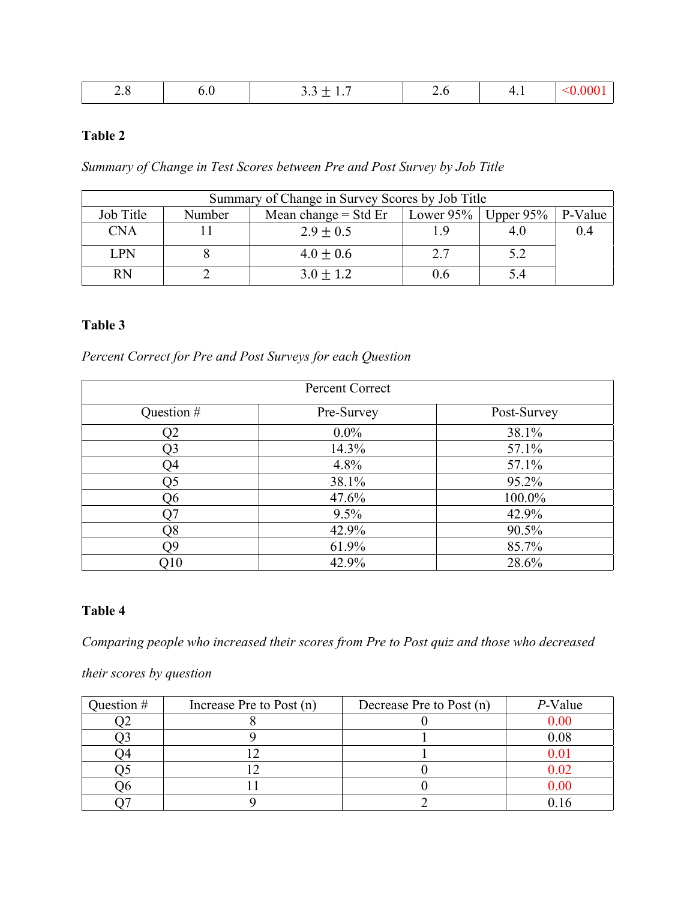| C<br>$\sim$ $\sim$ | ν.ν | $\overline{\phantom{0}}$<br>$\cdots$<br>$\cdots$<br>$\overline{\phantom{0}}$ | -<br>$\overline{v}$ | $\sqrt{1}$<br>$\cdots$ | $\mathcal{L}$<br>$\sqrt{ }$ |
|--------------------|-----|------------------------------------------------------------------------------|---------------------|------------------------|-----------------------------|
|--------------------|-----|------------------------------------------------------------------------------|---------------------|------------------------|-----------------------------|

## **Table 2**

*Summary of Change in Test Scores between Pre and Post Survey by Job Title*

| Summary of Change in Survey Scores by Job Title |                                                                     |               |         |     |     |
|-------------------------------------------------|---------------------------------------------------------------------|---------------|---------|-----|-----|
| Job Title                                       | Mean change $=$ Std Er<br>Lower 95%   Upper 95%   P-Value<br>Number |               |         |     |     |
| <b>CNA</b>                                      |                                                                     | $2.9 \pm 0.5$ | 1.9     | 4.U | 0.4 |
| <b>LPN</b>                                      |                                                                     | $4.0 \pm 0.6$ | 2.7     |     |     |
| <b>RN</b>                                       |                                                                     | $3.0 \pm 1.2$ | $0.6\,$ |     |     |

## **Table 3**

*Percent Correct for Pre and Post Surveys for each Question*

| Percent Correct |            |             |  |  |
|-----------------|------------|-------------|--|--|
| Question #      | Pre-Survey | Post-Survey |  |  |
| Q2              | $0.0\%$    | 38.1%       |  |  |
| Q3              | 14.3%      | 57.1%       |  |  |
| Q4              | 4.8%       | 57.1%       |  |  |
| Q5              | 38.1%      | 95.2%       |  |  |
| Q <sub>6</sub>  | 47.6%      | 100.0%      |  |  |
| О7              | $9.5\%$    | 42.9%       |  |  |
| Q8              | 42.9%      | 90.5%       |  |  |
| Q9              | 61.9%      | 85.7%       |  |  |
| Q10             | 42.9%      | 28.6%       |  |  |

### **Table 4**

*Comparing people who increased their scores from Pre to Post quiz and those who decreased* 

*their scores by question*

| Question # | Increase Pre to Post (n) | Decrease Pre to Post (n) | $P$ -Value |
|------------|--------------------------|--------------------------|------------|
|            |                          |                          | 0.00       |
|            |                          |                          | $0.08\,$   |
|            |                          |                          |            |
|            |                          |                          |            |
| 16         |                          |                          |            |
|            |                          |                          |            |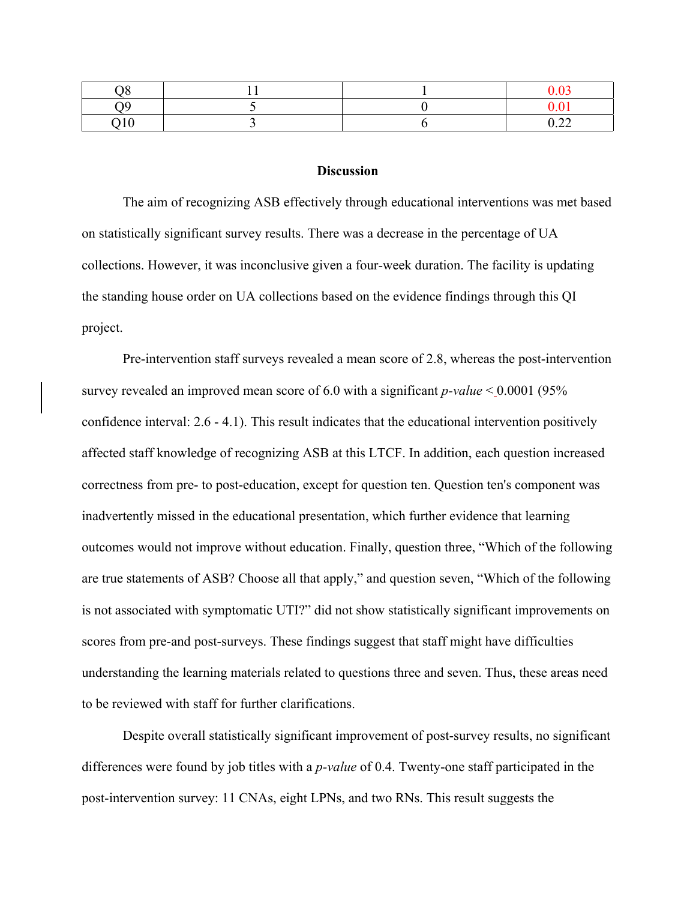| ١O              |  |      |
|-----------------|--|------|
| 10 <sup>1</sup> |  | ◡.∠∠ |

#### **Discussion**

The aim of recognizing ASB effectively through educational interventions was met based on statistically significant survey results. There was a decrease in the percentage of UA collections. However, it was inconclusive given a four-week duration. The facility is updating the standing house order on UA collections based on the evidence findings through this QI project.

Pre-intervention staff surveys revealed a mean score of 2.8, whereas the post-intervention survey revealed an improved mean score of 6.0 with a significant *p-value* < 0.0001 (95% confidence interval: 2.6 - 4.1). This result indicates that the educational intervention positively affected staff knowledge of recognizing ASB at this LTCF. In addition, each question increased correctness from pre- to post-education, except for question ten. Question ten's component was inadvertently missed in the educational presentation, which further evidence that learning outcomes would not improve without education. Finally, question three, "Which of the following are true statements of ASB? Choose all that apply," and question seven, "Which of the following is not associated with symptomatic UTI?" did not show statistically significant improvements on scores from pre-and post-surveys. These findings suggest that staff might have difficulties understanding the learning materials related to questions three and seven. Thus, these areas need to be reviewed with staff for further clarifications.

Despite overall statistically significant improvement of post-survey results, no significant differences were found by job titles with a *p-value* of 0.4. Twenty-one staff participated in the post-intervention survey: 11 CNAs, eight LPNs, and two RNs. This result suggests the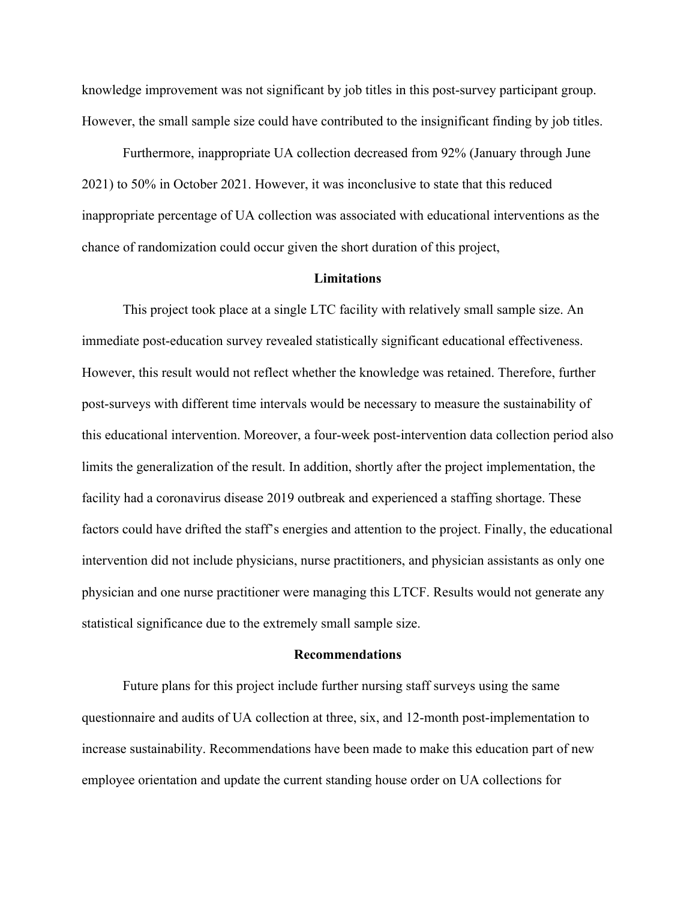knowledge improvement was not significant by job titles in this post-survey participant group. However, the small sample size could have contributed to the insignificant finding by job titles.

Furthermore, inappropriate UA collection decreased from 92% (January through June 2021) to 50% in October 2021. However, it was inconclusive to state that this reduced inappropriate percentage of UA collection was associated with educational interventions as the chance of randomization could occur given the short duration of this project,

#### **Limitations**

This project took place at a single LTC facility with relatively small sample size. An immediate post-education survey revealed statistically significant educational effectiveness. However, this result would not reflect whether the knowledge was retained. Therefore, further post-surveys with different time intervals would be necessary to measure the sustainability of this educational intervention. Moreover, a four-week post-intervention data collection period also limits the generalization of the result. In addition, shortly after the project implementation, the facility had a coronavirus disease 2019 outbreak and experienced a staffing shortage. These factors could have drifted the staff's energies and attention to the project. Finally, the educational intervention did not include physicians, nurse practitioners, and physician assistants as only one physician and one nurse practitioner were managing this LTCF. Results would not generate any statistical significance due to the extremely small sample size.

#### **Recommendations**

Future plans for this project include further nursing staff surveys using the same questionnaire and audits of UA collection at three, six, and 12-month post-implementation to increase sustainability. Recommendations have been made to make this education part of new employee orientation and update the current standing house order on UA collections for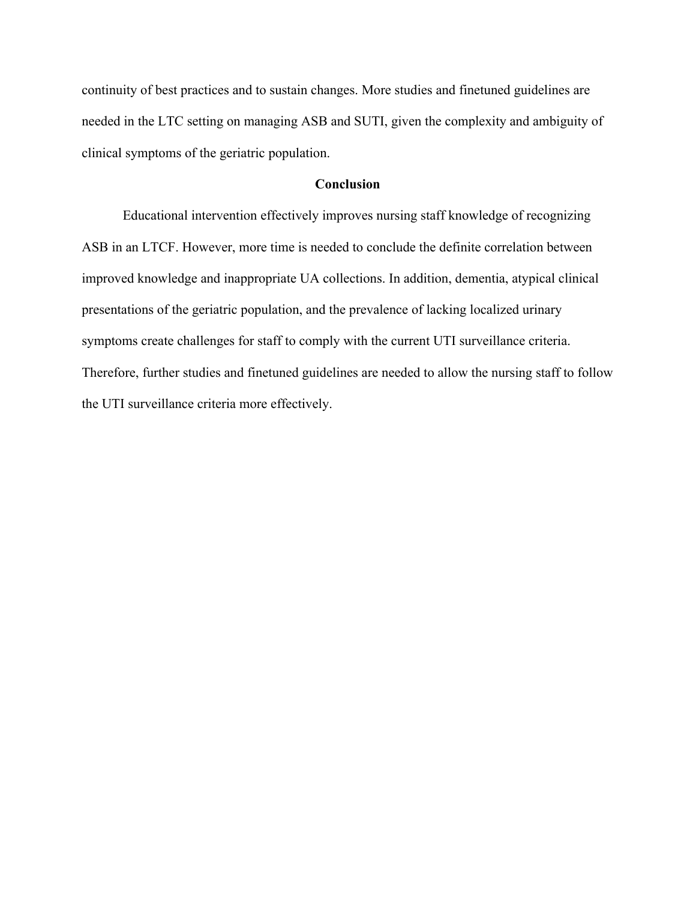continuity of best practices and to sustain changes. More studies and finetuned guidelines are needed in the LTC setting on managing ASB and SUTI, given the complexity and ambiguity of clinical symptoms of the geriatric population.

#### **Conclusion**

Educational intervention effectively improves nursing staff knowledge of recognizing ASB in an LTCF. However, more time is needed to conclude the definite correlation between improved knowledge and inappropriate UA collections. In addition, dementia, atypical clinical presentations of the geriatric population, and the prevalence of lacking localized urinary symptoms create challenges for staff to comply with the current UTI surveillance criteria. Therefore, further studies and finetuned guidelines are needed to allow the nursing staff to follow the UTI surveillance criteria more effectively.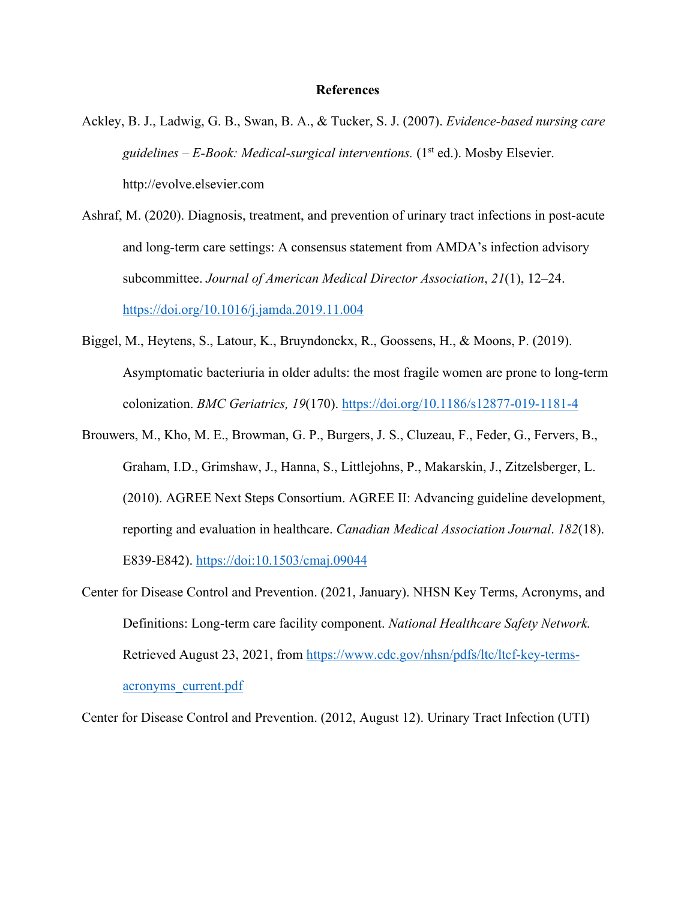#### **References**

- Ackley, B. J., Ladwig, G. B., Swan, B. A., & Tucker, S. J. (2007). *Evidence-based nursing care guidelines – E-Book: Medical-surgical interventions.* (1st ed.). Mosby Elsevier. http://evolve.elsevier.com
- Ashraf, M. (2020). Diagnosis, treatment, and prevention of urinary tract infections in post-acute and long-term care settings: A consensus statement from AMDA's infection advisory subcommittee. *Journal of American Medical Director Association*, *21*(1), 12–24. https://doi.org/10.1016/j.jamda.2019.11.004
- Biggel, M., Heytens, S., Latour, K., Bruyndonckx, R., Goossens, H., & Moons, P. (2019). Asymptomatic bacteriuria in older adults: the most fragile women are prone to long-term colonization. *BMC Geriatrics, 19*(170). https://doi.org/10.1186/s12877-019-1181-4
- Brouwers, M., Kho, M. E., Browman, G. P., Burgers, J. S., Cluzeau, F., Feder, G., Fervers, B., Graham, I.D., Grimshaw, J., Hanna, S., Littlejohns, P., Makarskin, J., Zitzelsberger, L. (2010). AGREE Next Steps Consortium. AGREE II: Advancing guideline development, reporting and evaluation in healthcare. *Canadian Medical Association Journal*. *182*(18). E839-E842). https://doi:10.1503/cmaj.09044
- Center for Disease Control and Prevention. (2021, January). NHSN Key Terms, Acronyms, and Definitions: Long-term care facility component. *National Healthcare Safety Network.* Retrieved August 23, 2021, from https://www.cdc.gov/nhsn/pdfs/ltc/ltcf-key-termsacronyms\_current.pdf

Center for Disease Control and Prevention. (2012, August 12). Urinary Tract Infection (UTI)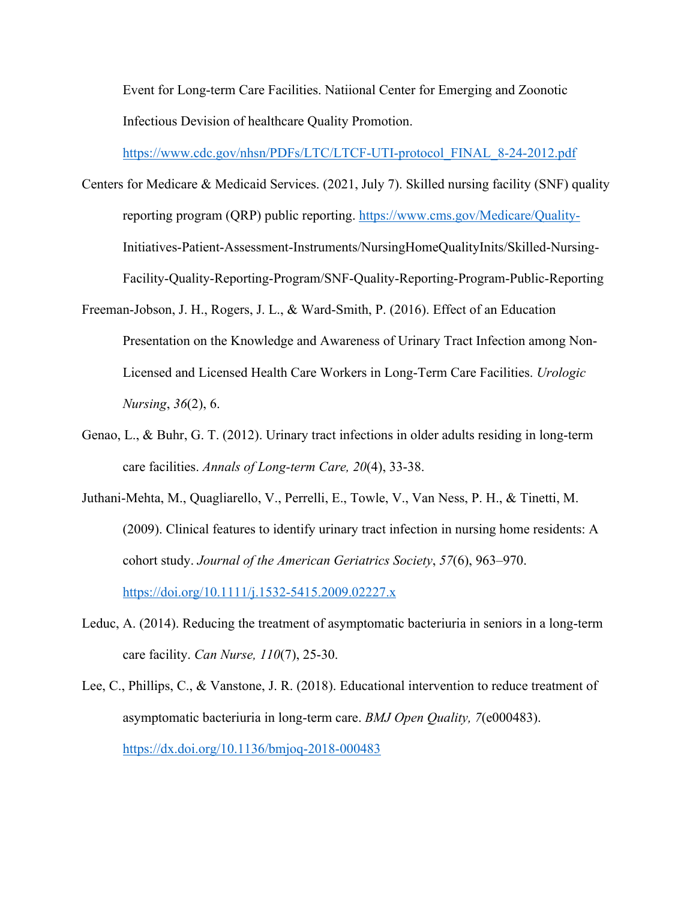Event for Long-term Care Facilities. Natiional Center for Emerging and Zoonotic Infectious Devision of healthcare Quality Promotion.

https://www.cdc.gov/nhsn/PDFs/LTC/LTCF-UTI-protocol\_FINAL\_8-24-2012.pdf

- Centers for Medicare & Medicaid Services. (2021, July 7). Skilled nursing facility (SNF) quality reporting program (QRP) public reporting. https://www.cms.gov/Medicare/Quality-Initiatives-Patient-Assessment-Instruments/NursingHomeQualityInits/Skilled-Nursing-Facility-Quality-Reporting-Program/SNF-Quality-Reporting-Program-Public-Reporting
- Freeman-Jobson, J. H., Rogers, J. L., & Ward-Smith, P. (2016). Effect of an Education Presentation on the Knowledge and Awareness of Urinary Tract Infection among Non-Licensed and Licensed Health Care Workers in Long-Term Care Facilities. *Urologic Nursing*, *36*(2), 6.
- Genao, L., & Buhr, G. T. (2012). Urinary tract infections in older adults residing in long-term care facilities. *Annals of Long-term Care, 20*(4), 33-38.
- Juthani-Mehta, M., Quagliarello, V., Perrelli, E., Towle, V., Van Ness, P. H., & Tinetti, M. (2009). Clinical features to identify urinary tract infection in nursing home residents: A cohort study. *Journal of the American Geriatrics Society*, *57*(6), 963–970. https://doi.org/10.1111/j.1532-5415.2009.02227.x
- Leduc, A. (2014). Reducing the treatment of asymptomatic bacteriuria in seniors in a long-term care facility. *Can Nurse, 110*(7), 25-30.
- Lee, C., Phillips, C., & Vanstone, J. R. (2018). Educational intervention to reduce treatment of asymptomatic bacteriuria in long-term care. *BMJ Open Quality, 7*(e000483). https://dx.doi.org/10.1136/bmjoq-2018-000483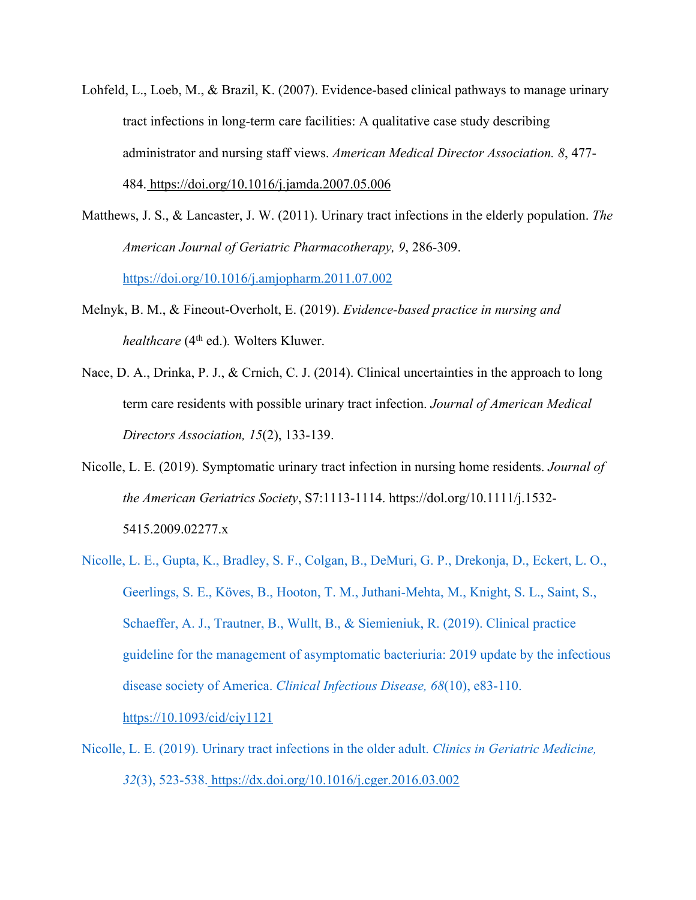- Lohfeld, L., Loeb, M., & Brazil, K. (2007). Evidence-based clinical pathways to manage urinary tract infections in long-term care facilities: A qualitative case study describing administrator and nursing staff views. *American Medical Director Association. 8*, 477- 484. https://doi.org/10.1016/j.jamda.2007.05.006
- Matthews, J. S., & Lancaster, J. W. (2011). Urinary tract infections in the elderly population. *The American Journal of Geriatric Pharmacotherapy, 9*, 286-309. https://doi.org/10.1016/j.amjopharm.2011.07.002
- Melnyk, B. M., & Fineout-Overholt, E. (2019). *Evidence-based practice in nursing and healthcare* (4<sup>th</sup> ed.). Wolters Kluwer.
- Nace, D. A., Drinka, P. J., & Crnich, C. J. (2014). Clinical uncertainties in the approach to long term care residents with possible urinary tract infection. *Journal of American Medical Directors Association, 15*(2), 133-139.
- Nicolle, L. E. (2019). Symptomatic urinary tract infection in nursing home residents. *Journal of the American Geriatrics Society*, S7:1113-1114. https://dol.org/10.1111/j.1532- 5415.2009.02277.x
- Nicolle, L. E., Gupta, K., Bradley, S. F., Colgan, B., DeMuri, G. P., Drekonja, D., Eckert, L. O., Geerlings, S. E., Kӧves, B., Hooton, T. M., Juthani-Mehta, M., Knight, S. L., Saint, S., Schaeffer, A. J., Trautner, B., Wullt, B., & Siemieniuk, R. (2019). Clinical practice guideline for the management of asymptomatic bacteriuria: 2019 update by the infectious disease society of America. *Clinical Infectious Disease, 68*(10), e83-110. https://10.1093/cid/ciy1121
- Nicolle, L. E. (2019). Urinary tract infections in the older adult. *Clinics in Geriatric Medicine, 32*(3), 523-538. https://dx.doi.org/10.1016/j.cger.2016.03.002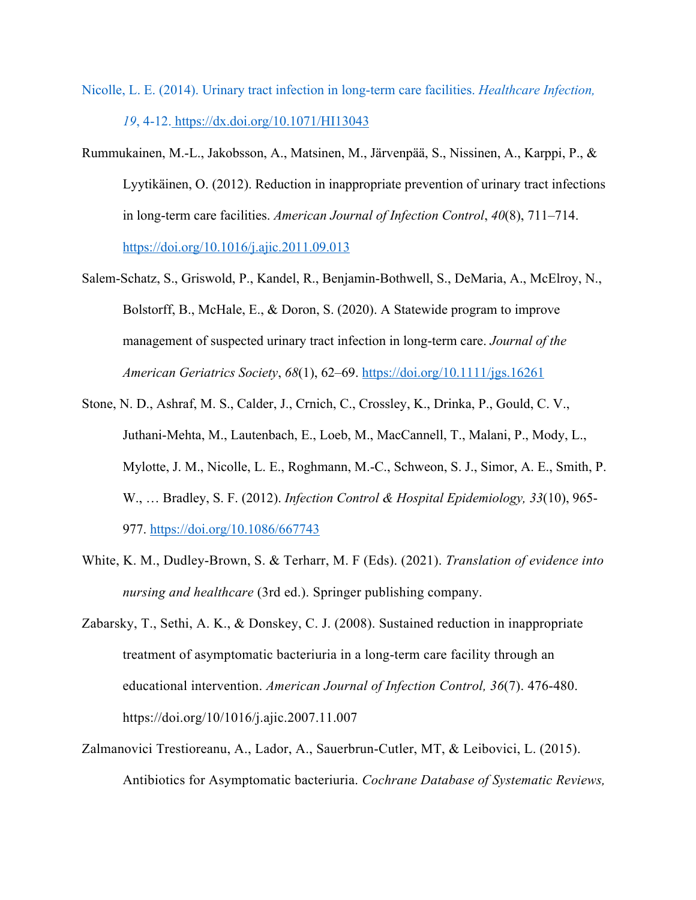- Nicolle, L. E. (2014). Urinary tract infection in long-term care facilities. *Healthcare Infection, 19*, 4-12. https://dx.doi.org/10.1071/HI13043
- Rummukainen, M.-L., Jakobsson, A., Matsinen, M., Järvenpää, S., Nissinen, A., Karppi, P., & Lyytikäinen, O. (2012). Reduction in inappropriate prevention of urinary tract infections in long-term care facilities. *American Journal of Infection Control*, *40*(8), 711–714. https://doi.org/10.1016/j.ajic.2011.09.013
- Salem‐Schatz, S., Griswold, P., Kandel, R., Benjamin‐Bothwell, S., DeMaria, A., McElroy, N., Bolstorff, B., McHale, E., & Doron, S. (2020). A Statewide program to improve management of suspected urinary tract infection in long‐term care. *Journal of the American Geriatrics Society*, *68*(1), 62–69. https://doi.org/10.1111/jgs.16261
- Stone, N. D., Ashraf, M. S., Calder, J., Crnich, C., Crossley, K., Drinka, P., Gould, C. V., Juthani-Mehta, M., Lautenbach, E., Loeb, M., MacCannell, T., Malani, P., Mody, L., Mylotte, J. M., Nicolle, L. E., Roghmann, M.-C., Schweon, S. J., Simor, A. E., Smith, P. W., … Bradley, S. F. (2012). *Infection Control & Hospital Epidemiology, 33*(10), 965- 977. https://doi.org/10.1086/667743
- White, K. M., Dudley-Brown, S. & Terharr, M. F (Eds). (2021). *Translation of evidence into nursing and healthcare* (3rd ed.). Springer publishing company.
- Zabarsky, T., Sethi, A. K., & Donskey, C. J. (2008). Sustained reduction in inappropriate treatment of asymptomatic bacteriuria in a long-term care facility through an educational intervention. *American Journal of Infection Control, 36*(7). 476-480. https://doi.org/10/1016/j.ajic.2007.11.007
- Zalmanovici Trestioreanu, A., Lador, A., Sauerbrun-Cutler, MT, & Leibovici, L. (2015). Antibiotics for Asymptomatic bacteriuria. *Cochrane Database of Systematic Reviews,*